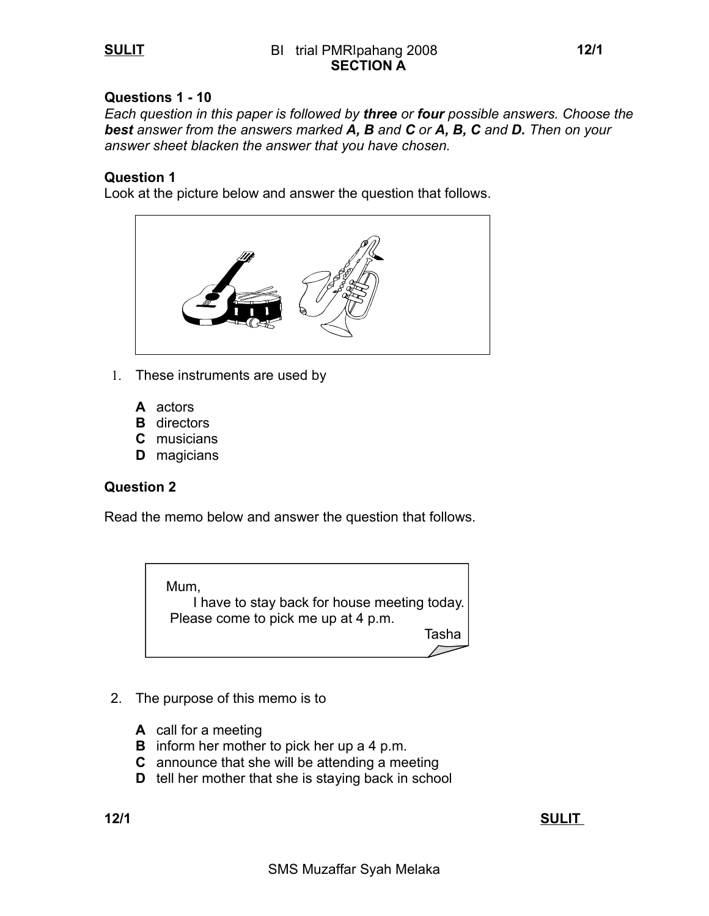## **Questions 1 - 10**

*Each question in this paper is followed by three or four possible answers. Choose the best answer from the answers marked A, B and C or A, B, C and D. Then on your answer sheet blacken the answer that you have chosen.*

#### **Question 1**

Look at the picture below and answer the question that follows.



- 1. These instruments are used by
	- **A** actors
	- **B** directors
	- **C** musicians
	- **D** magicians

### **Question 2**

Read the memo below and answer the question that follows.



- 2. The purpose of this memo is to
	- **A** call for a meeting
	- **B** inform her mother to pick her up a 4 p.m.
	- **C** announce that she will be attending a meeting
	- **D** tell her mother that she is staying back in school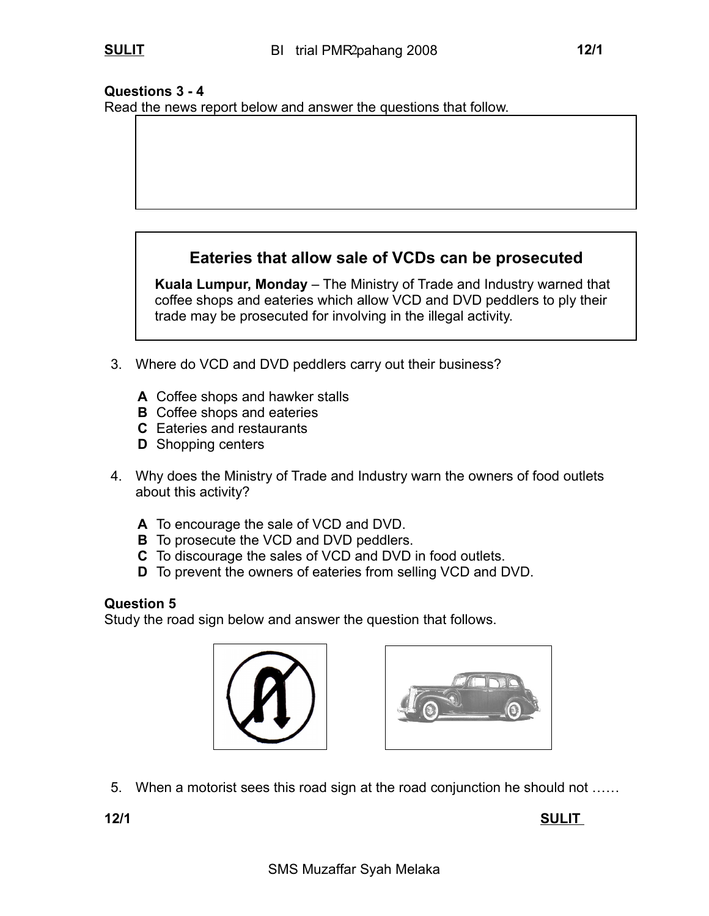## **Questions 3 - 4**

Read the news report below and answer the questions that follow.

# **Eateries that allow sale of VCDs can be prosecuted**

 **Kuala Lumpur, Monday** – The Ministry of Trade and Industry warned that coffee shops and eateries which allow VCD and DVD peddlers to ply their trade may be prosecuted for involving in the illegal activity.

- 3. Where do VCD and DVD peddlers carry out their business?
	- **A** Coffee shops and hawker stalls
	- **B** Coffee shops and eateries
	- **C** Eateries and restaurants
	- **D** Shopping centers
- 4. Why does the Ministry of Trade and Industry warn the owners of food outlets about this activity?
	- **A** To encourage the sale of VCD and DVD.
	- **B** To prosecute the VCD and DVD peddlers.
	- **C** To discourage the sales of VCD and DVD in food outlets.
	- **D** To prevent the owners of eateries from selling VCD and DVD.

## **Question 5**

Study the road sign below and answer the question that follows.





5. When a motorist sees this road sign at the road conjunction he should not ……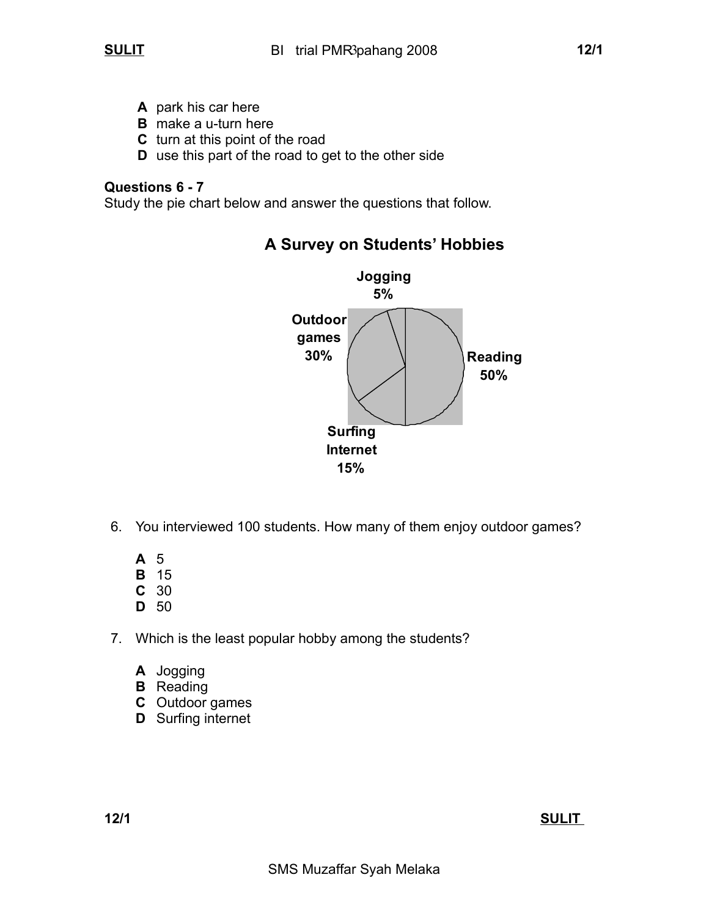- **A** park his car here
- **B** make a u-turn here
- **C** turn at this point of the road
- **D** use this part of the road to get to the other side

## **Questions 6 - 7**

Study the pie chart below and answer the questions that follow.



# **A Survey on Students' Hobbies**

- 6. You interviewed 100 students. How many of them enjoy outdoor games?
	- **A** 5
	- **B** 15
	- **C** 30
	- **D** 50
- 7. Which is the least popular hobby among the students?
	- **A** Jogging
	- **B** Reading
	- **C** Outdoor games
	- **D** Surfing internet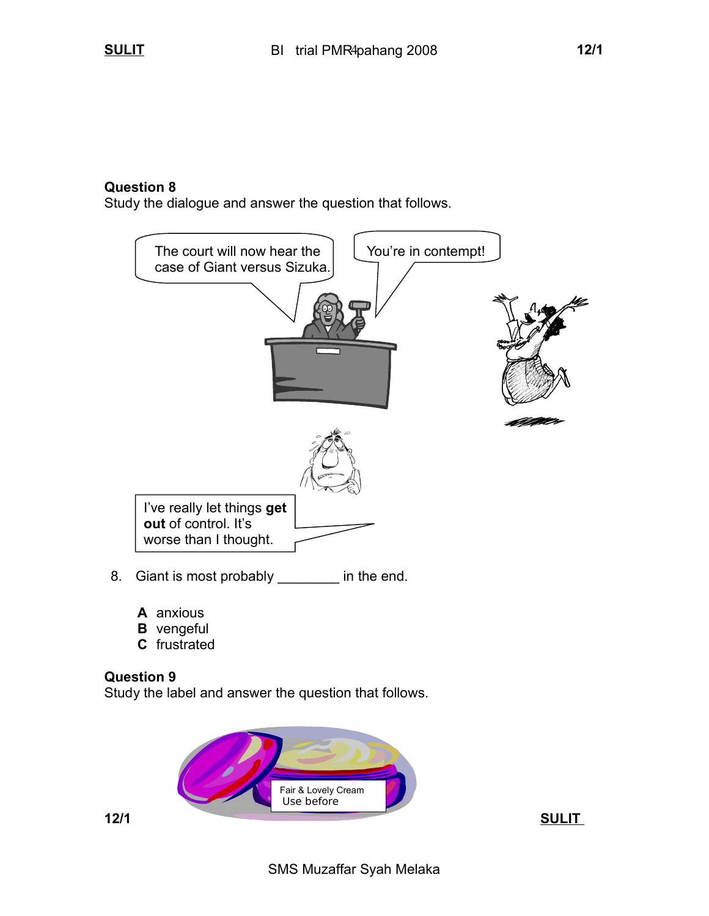**Question 8**

Study the dialogue and answer the question that follows.



- 8. Giant is most probably \_\_\_\_\_\_\_ in the end.
	- **A** anxious
	- **B** vengeful
	- **C** frustrated

### **Question 9**

Study the label and answer the question that follows.

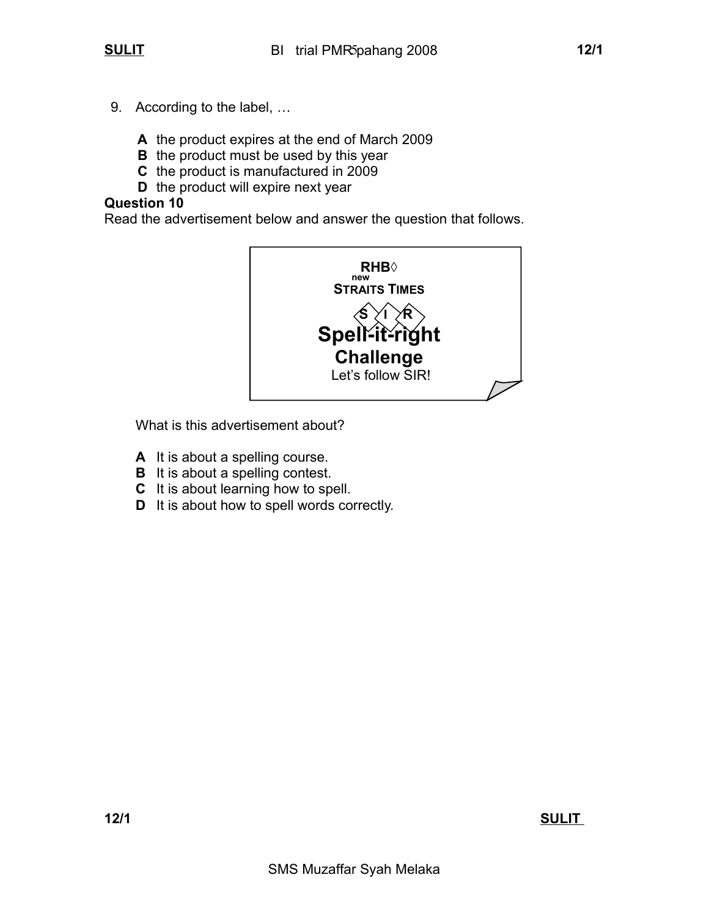- 9. According to the label, …
	- **A** the product expires at the end of March 2009
	- **B** the product must be used by this year
	- **C** the product is manufactured in 2009
	- **D** the product will expire next year

## **Question 10**

Read the advertisement below and answer the question that follows.



What is this advertisement about?

- **A** It is about a spelling course.
- **B** It is about a spelling contest.
- **C** It is about learning how to spell.
- **D** It is about how to spell words correctly.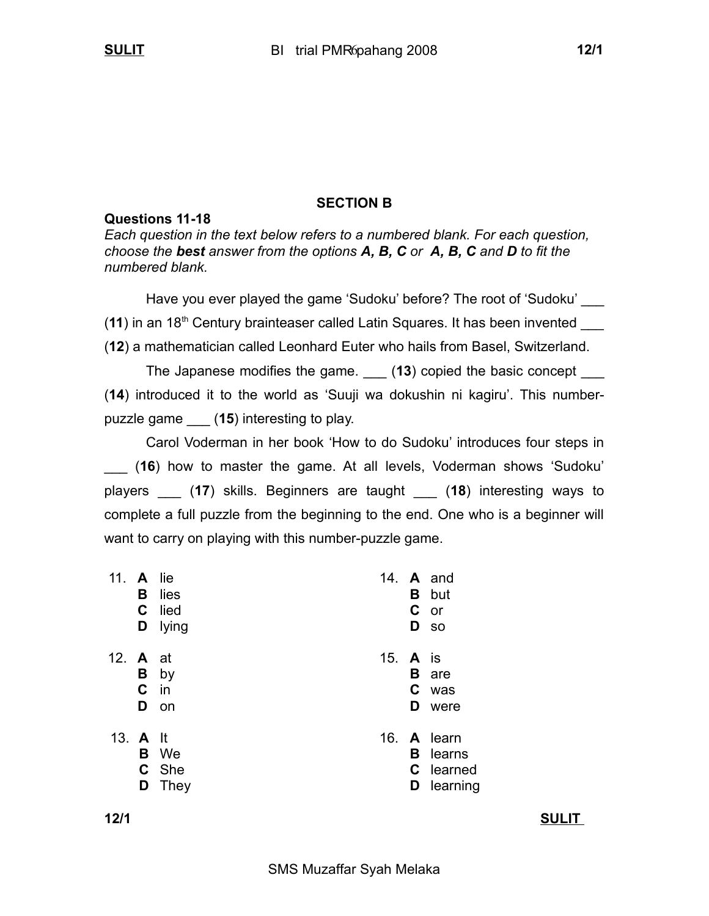## **SECTION B**

## **Questions 11-18**

*Each question in the text below refers to a numbered blank. For each question, choose the best answer from the options A, B, C or A, B, C and D to fit the numbered blank.*

Have you ever played the game 'Sudoku' before? The root of 'Sudoku' (**11**) in an 18th Century brainteaser called Latin Squares. It has been invented \_\_\_ (**12**) a mathematician called Leonhard Euter who hails from Basel, Switzerland.

The Japanese modifies the game. \_\_\_ (**13**) copied the basic concept \_\_\_ (**14**) introduced it to the world as 'Suuji wa dokushin ni kagiru'. This numberpuzzle game \_\_\_ (**15**) interesting to play.

Carol Voderman in her book 'How to do Sudoku' introduces four steps in \_\_\_ (**16**) how to master the game. At all levels, Voderman shows 'Sudoku' players \_\_\_ (**17**) skills. Beginners are taught \_\_\_ (**18**) interesting ways to complete a full puzzle from the beginning to the end. One who is a beginner will want to carry on playing with this number-puzzle game.

| 11. A lie       | В<br>C.<br>D | lies<br>lied<br>lying        |          |   | 14. A and<br><b>B</b> but<br>C or<br>D so               |
|-----------------|--------------|------------------------------|----------|---|---------------------------------------------------------|
| 12. <b>A</b> at | C.<br>D      | <b>B</b> by<br>in<br>on      | 15. A is | D | <b>B</b> are<br>C was<br>were                           |
| 13. A It        | D            | <b>B</b> We<br>C She<br>They |          | D | 16. A learn<br><b>B</b> learns<br>C learned<br>learning |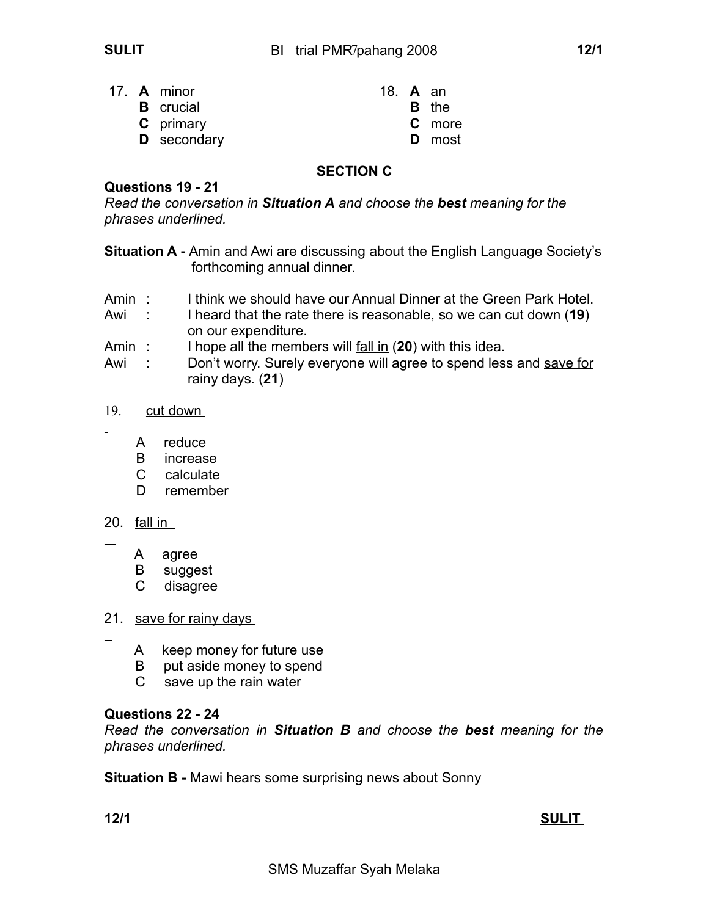|  | 17. A minor      | 18. <b>A</b> an |               |
|--|------------------|-----------------|---------------|
|  | <b>B</b> crucial |                 | <b>B</b> the  |
|  | <b>C</b> primary |                 | <b>C</b> more |
|  | D secondary      |                 | <b>D</b> most |

## **SECTION C**

### **Questions 19 - 21**

*Read the conversation in Situation A and choose the best meaning for the phrases underlined.*

**Situation A -** Amin and Awi are discussing about the English Language Society's forthcoming annual dinner.

- Amin: I think we should have our Annual Dinner at the Green Park Hotel.
- Awi : I heard that the rate there is reasonable, so we can cut down (19)
- on our expenditure.<br>Amin: I hope all the member Amin : I hope all the members will fall in (**20**) with this idea.

Awi : Don't worry. Surely everyone will agree to spend less and save for rainy days. (**21**)

#### 19. cut down

- A reduce
- B increase
- C calculate
- D remember

### 20. fall in

 $\overline{a}$ 

- A agree
- B suggest
- C disagree
- 21. save for rainy days
	- A keep money for future use
	- B put aside money to spend
	- C save up the rain water

## **Questions 22 - 24**

*Read the conversation in Situation B and choose the best meaning for the phrases underlined.*

**Situation B -** Mawi hears some surprising news about Sonny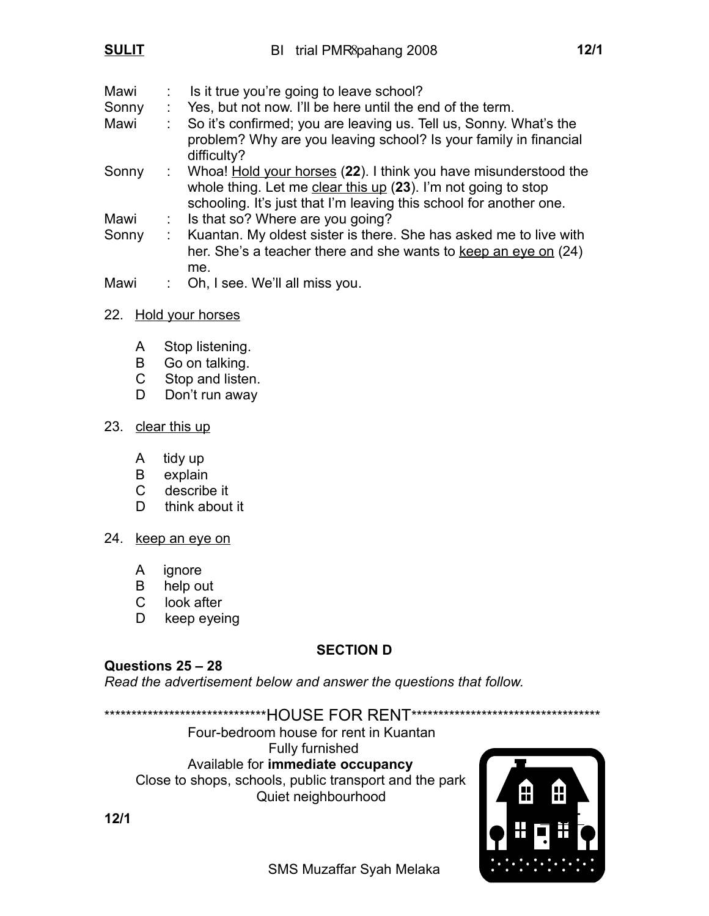| Mawi  | Is it true you're going to leave school?                                                                                                                                                                 |
|-------|----------------------------------------------------------------------------------------------------------------------------------------------------------------------------------------------------------|
| Sonny | Yes, but not now. I'll be here until the end of the term.                                                                                                                                                |
| Mawi  | So it's confirmed; you are leaving us. Tell us, Sonny. What's the<br>problem? Why are you leaving school? Is your family in financial<br>difficulty?                                                     |
| Sonny | : Whoa! Hold your horses (22). I think you have misunderstood the<br>whole thing. Let me clear this up (23). I'm not going to stop<br>schooling. It's just that I'm leaving this school for another one. |
| Mawi  | : Is that so? Where are you going?                                                                                                                                                                       |
| Sonny | Kuantan. My oldest sister is there. She has asked me to live with<br>her. She's a teacher there and she wants to keep an eye on (24)<br>me.                                                              |
| Mawi  | Oh, I see. We'll all miss you.                                                                                                                                                                           |

## 22. Hold your horses

- A Stop listening.
- B Go on talking.
- C Stop and listen.
- D Don't run away

## 23. clear this up

- A tidy up
- B explain
- C describe it
- D think about it
- 24. keep an eye on
	- A ignore
	- B help out
	- C look after
	- D keep eyeing

## **SECTION D**

## **Questions 25 – 28**

*Read the advertisement below and answer the questions that follow.*

\*\*\*\*\*\*\*\*\*\*\*\*\*\*\*\*\*\*\*\*\*\*\*\*\*\*\*\*\*\*\*HOUSE FOR RENT\*\*\*\*\*\*\*\*\*\*\*\*\*\*\*\*\*\*\*\*\*\*\*\*\*\*\*\*\*\*\*\*\*\*\* Four-bedroom house for rent in Kuantan Fully furnished Available for **immediate occupancy** Close to shops, schools, public transport and the park Quiet neighbourhood

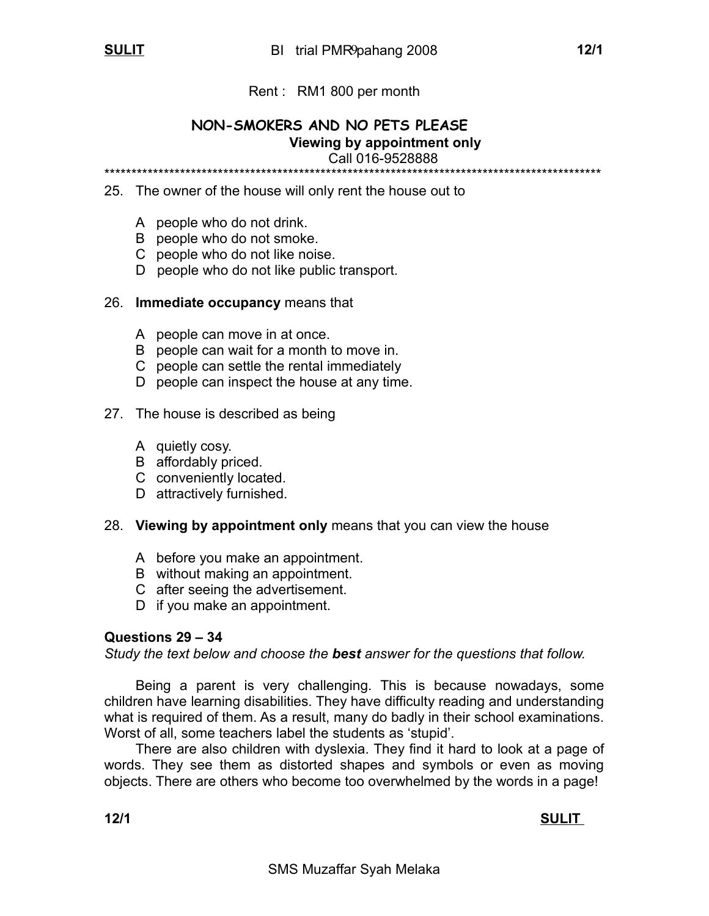## Rent : RM1 800 per month

#### **NON-SMOKERS AND NO PETS PLEASE Viewing by appointment only** Call 016-9528888 \*\*\*\*\*\*\*\*\*\*\*\*\*\*\*\*\*\*\*\*\*\*\*\*\*\*\*\*\*\*\*\*\*\*\*\*\*\*\*\*\*\*\*\*\*\*\*\*\*\*\*\*\*\*\*\*\*\*\*\*\*\*\*\*\*\*\*\*\*\*\*\*\*\*\*\*\*\*\*\*\*\*\*\*\*\*\*\*\*\*\*\*

25. The owner of the house will only rent the house out to

- A people who do not drink.
- B people who do not smoke.
- C people who do not like noise.
- D people who do not like public transport.

#### 26. **Immediate occupancy** means that

- A people can move in at once.
- B people can wait for a month to move in.
- C people can settle the rental immediately
- D people can inspect the house at any time.

#### 27. The house is described as being

- A quietly cosy.
- B affordably priced.
- C conveniently located.
- D attractively furnished.

### 28. **Viewing by appointment only** means that you can view the house

- A before you make an appointment.
- B without making an appointment.
- C after seeing the advertisement.
- D if you make an appointment.

### **Questions 29 – 34**

*Study the text below and choose the best answer for the questions that follow.*

Being a parent is very challenging. This is because nowadays, some children have learning disabilities. They have difficulty reading and understanding what is required of them. As a result, many do badly in their school examinations. Worst of all, some teachers label the students as 'stupid'.

There are also children with dyslexia. They find it hard to look at a page of words. They see them as distorted shapes and symbols or even as moving objects. There are others who become too overwhelmed by the words in a page!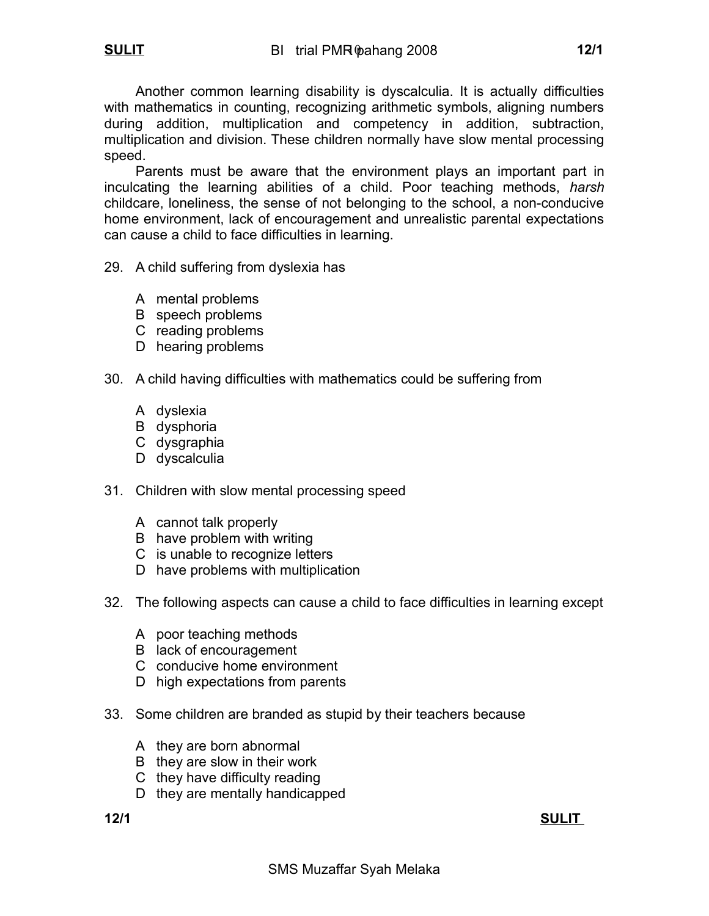Another common learning disability is dyscalculia. It is actually difficulties with mathematics in counting, recognizing arithmetic symbols, aligning numbers during addition, multiplication and competency in addition, subtraction, multiplication and division. These children normally have slow mental processing speed.

Parents must be aware that the environment plays an important part in inculcating the learning abilities of a child. Poor teaching methods, *harsh* childcare, loneliness, the sense of not belonging to the school, a non-conducive home environment, lack of encouragement and unrealistic parental expectations can cause a child to face difficulties in learning.

- 29. A child suffering from dyslexia has
	- A mental problems
	- B speech problems
	- C reading problems
	- D hearing problems
- 30. A child having difficulties with mathematics could be suffering from
	- A dyslexia
	- B dysphoria
	- C dysgraphia
	- D dyscalculia
- 31. Children with slow mental processing speed
	- A cannot talk properly
	- B have problem with writing
	- C is unable to recognize letters
	- D have problems with multiplication
- 32. The following aspects can cause a child to face difficulties in learning except
	- A poor teaching methods
	- B lack of encouragement
	- C conducive home environment
	- D high expectations from parents
- 33. Some children are branded as stupid by their teachers because
	- A they are born abnormal
	- B they are slow in their work
	- C they have difficulty reading
	- D they are mentally handicapped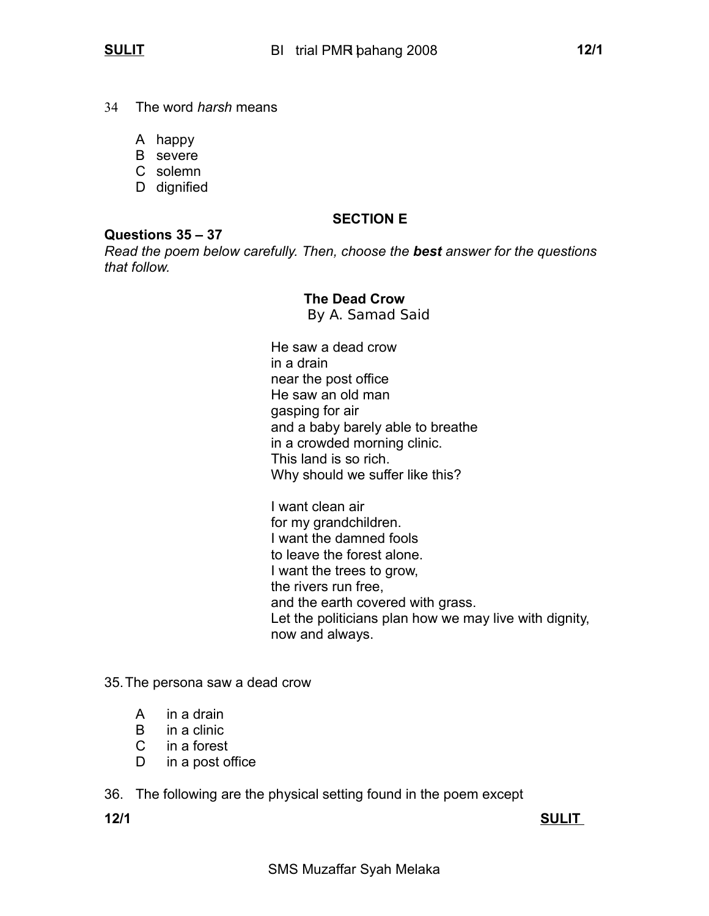- 34 The word *harsh* means
	- A happy
	- B severe
	- C solemn
	- D dignified

## **SECTION E**

#### **Questions 35 – 37**

*Read the poem below carefully. Then, choose the best answer for the questions that follow.*

## **The Dead Crow**

By A. Samad Said

He saw a dead crow in a drain near the post office He saw an old man gasping for air and a baby barely able to breathe in a crowded morning clinic. This land is so rich. Why should we suffer like this?

I want clean air for my grandchildren. I want the damned fools to leave the forest alone. I want the trees to grow, the rivers run free, and the earth covered with grass. Let the politicians plan how we may live with dignity, now and always.

- 35.The persona saw a dead crow
	- A in a drain
	- B in a clinic
	- C in a forest
	- D in a post office

36. The following are the physical setting found in the poem except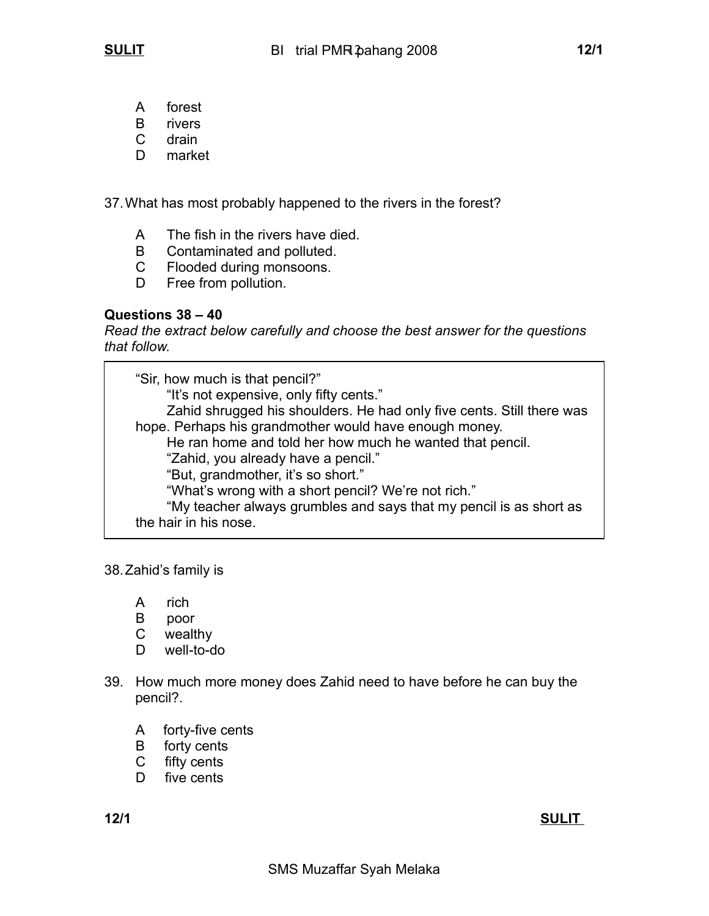- A forest
- B rivers
- C drain
- D market

37.What has most probably happened to the rivers in the forest?

- A The fish in the rivers have died.
- B Contaminated and polluted.
- C Flooded during monsoons.
- D Free from pollution.

## **Questions 38 – 40**

*Read the extract below carefully and choose the best answer for the questions that follow.*

"Sir, how much is that pencil?" "It's not expensive, only fifty cents." Zahid shrugged his shoulders. He had only five cents. Still there was hope. Perhaps his grandmother would have enough money. He ran home and told her how much he wanted that pencil. "Zahid, you already have a pencil." "But, grandmother, it's so short." "What's wrong with a short pencil? We're not rich." "My teacher always grumbles and says that my pencil is as short as the hair in his nose.

38.Zahid's family is

- A rich
- B poor
- C wealthy
- D well-to-do
- 39. How much more money does Zahid need to have before he can buy the pencil?.
	- A forty-five cents
	- B forty cents
	- C fifty cents
	- D five cents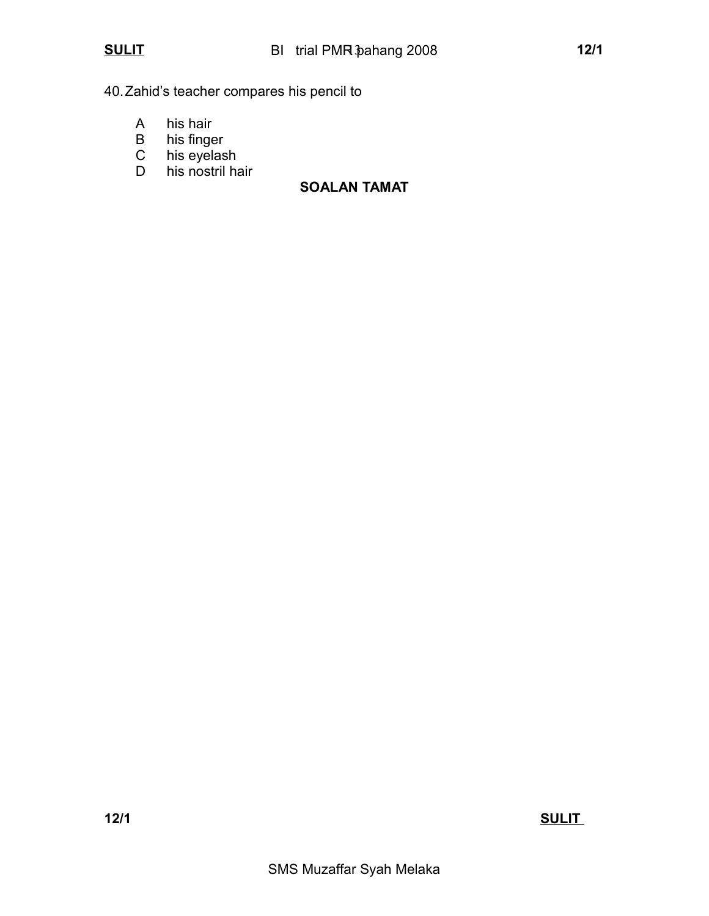40.Zahid's teacher compares his pencil to

- A his hair
- B his finger<br>C his eyelas
- his eyelash
- D his nostril hair

## **SOALAN TAMAT**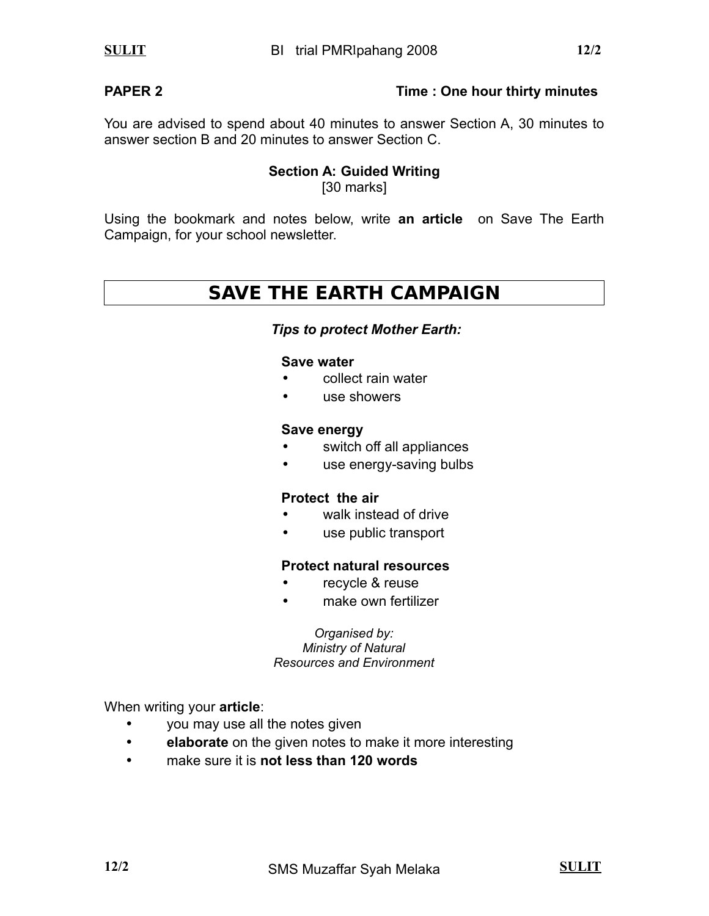## **PAPER 2 Time : One hour thirty minutes**

You are advised to spend about 40 minutes to answer Section A, 30 minutes to answer section B and 20 minutes to answer Section C.

## **Section A: Guided Writing** [30 marks]

Using the bookmark and notes below, write **an article** on Save The Earth Campaign, for your school newsletter.

# **SAVE THE EARTH CAMPAIGN**

### *Tips to protect Mother Earth:*

#### **Save water**

- collect rain water
- use showers

### **Save energy**

- switch off all appliances
- use energy-saving bulbs

## **Protect the air**

- walk instead of drive
- use public transport

### **Protect natural resources**

- recycle & reuse
- make own fertilizer

*Organised by: Ministry of Natural Resources and Environment*

When writing your **article**:

- you may use all the notes given
- **elaborate** on the given notes to make it more interesting
- make sure it is **not less than 120 words**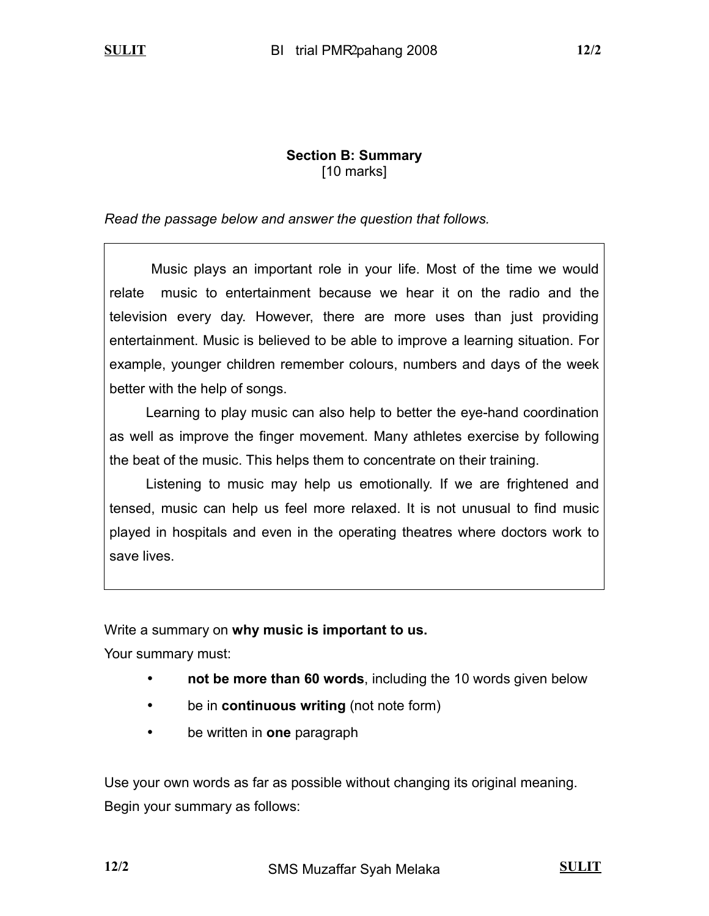## **Section B: Summary** [10 marks]

## *Read the passage below and answer the question that follows.*

Music plays an important role in your life. Most of the time we would relate music to entertainment because we hear it on the radio and the television every day. However, there are more uses than just providing entertainment. Music is believed to be able to improve a learning situation. For example, younger children remember colours, numbers and days of the week better with the help of songs.

Learning to play music can also help to better the eye-hand coordination as well as improve the finger movement. Many athletes exercise by following the beat of the music. This helps them to concentrate on their training.

Listening to music may help us emotionally. If we are frightened and tensed, music can help us feel more relaxed. It is not unusual to find music played in hospitals and even in the operating theatres where doctors work to save lives.

Write a summary on **why music is important to us.**

Your summary must:

- **not be more than 60 words**, including the 10 words given below
- be in **continuous writing** (not note form)
- be written in **one** paragraph

Use your own words as far as possible without changing its original meaning. Begin your summary as follows: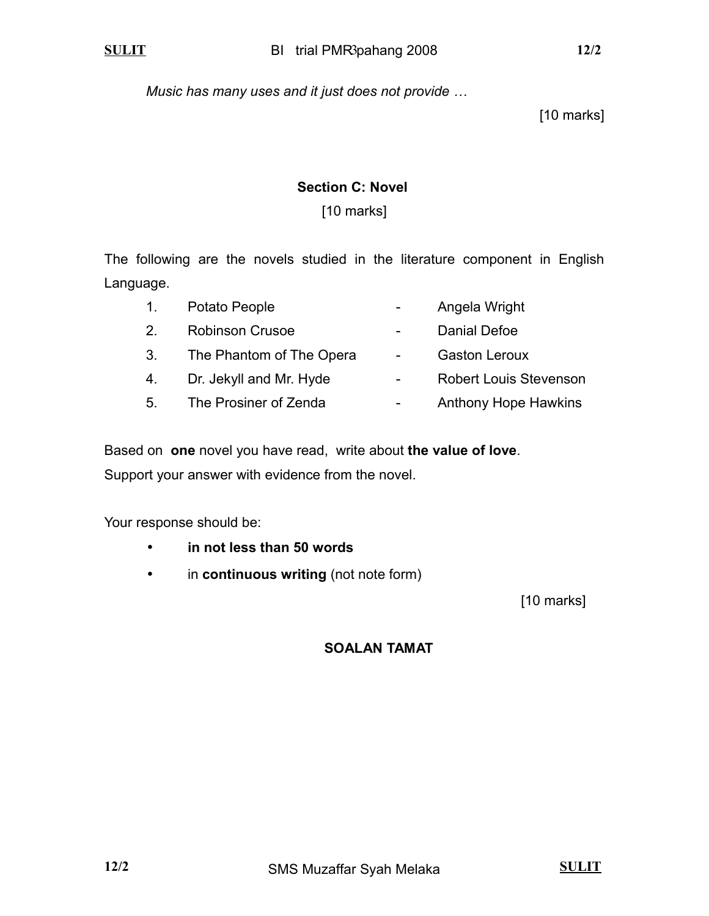*Music has many uses and it just does not provide …*

[10 marks]

## **Section C: Novel**

## [10 marks]

The following are the novels studied in the literature component in English Language.

| 1. | Potato People            |                 | Angela Wright                 |
|----|--------------------------|-----------------|-------------------------------|
| 2. | <b>Robinson Crusoe</b>   | $\sim$          | Danial Defoe                  |
| 3. | The Phantom of The Opera | $\sim$ 10 $\pm$ | <b>Gaston Leroux</b>          |
| 4. | Dr. Jekyll and Mr. Hyde  | $\blacksquare$  | <b>Robert Louis Stevenson</b> |
| 5. | The Prosiner of Zenda    |                 | <b>Anthony Hope Hawkins</b>   |

Based on **one** novel you have read, write about **the value of love**. Support your answer with evidence from the novel.

Your response should be:

- **in not less than 50 words**
- in **continuous writing** (not note form)

[10 marks]

 **SOALAN TAMAT**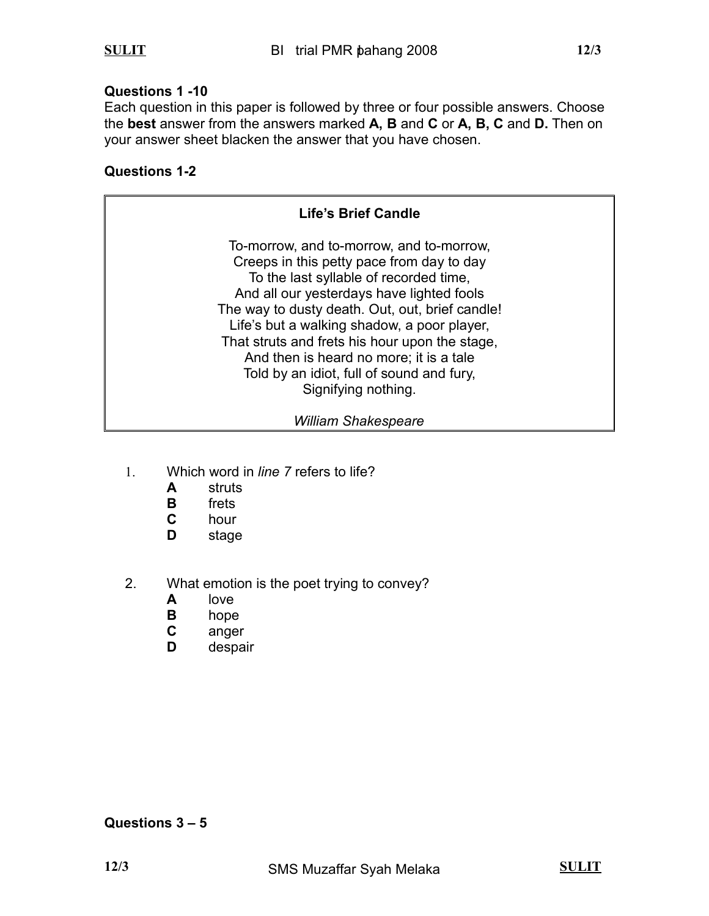## **Questions 1 -10**

Each question in this paper is followed by three or four possible answers. Choose the **best** answer from the answers marked **A, B** and **C** or **A, B, C** and **D.** Then on your answer sheet blacken the answer that you have chosen.

## **Questions 1-2**

| <b>Life's Brief Candle</b>                                                                                                                                                                                                                                                                                                                                                                                                                      |  |
|-------------------------------------------------------------------------------------------------------------------------------------------------------------------------------------------------------------------------------------------------------------------------------------------------------------------------------------------------------------------------------------------------------------------------------------------------|--|
| To-morrow, and to-morrow, and to-morrow,<br>Creeps in this petty pace from day to day<br>To the last syllable of recorded time,<br>And all our yesterdays have lighted fools<br>The way to dusty death. Out, out, brief candle!<br>Life's but a walking shadow, a poor player,<br>That struts and frets his hour upon the stage,<br>And then is heard no more; it is a tale<br>Told by an idiot, full of sound and fury,<br>Signifying nothing. |  |
| <b>William Shakespeare</b>                                                                                                                                                                                                                                                                                                                                                                                                                      |  |

- 1. Which word in *line 7* refers to life?
	- **A** struts
	- **B** frets<br>**C** hour
	- **C** hour
	- **D** stage
- 2. What emotion is the poet trying to convey?
	- **A** love
	- **B** hope
	- **C** anger
	- **D** despair

## **Questions 3 – 5**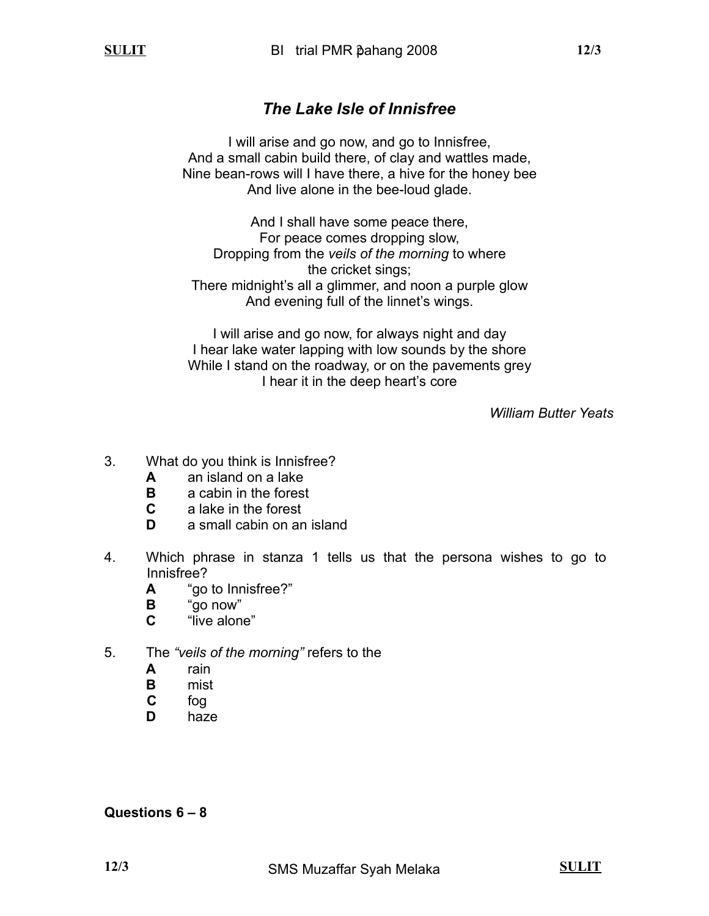# *The Lake Isle of Innisfree*

I will arise and go now, and go to Innisfree, And a small cabin build there, of clay and wattles made, Nine bean-rows will I have there, a hive for the honey bee And live alone in the bee-loud glade.

And I shall have some peace there, For peace comes dropping slow, Dropping from the *veils of the morning* to where the cricket sings; There midnight's all a glimmer, and noon a purple glow And evening full of the linnet's wings.

I will arise and go now, for always night and day I hear lake water lapping with low sounds by the shore While I stand on the roadway, or on the pavements grey I hear it in the deep heart's core

*William Butter Yeats*

- 3. What do you think is Innisfree?
	- **A** an island on a lake
	- **B** a cabin in the forest
	- **C** a lake in the forest
	- **D** a small cabin on an island
- 4. Which phrase in stanza 1 tells us that the persona wishes to go to Innisfree?
	- **A** "go to Innisfree?"
	- **B** "go now"
	- **C** "live alone"
- 5. The *"veils of the morning"* refers to the
	- **A** rain
	- **B** mist
	- **C** fog
	- **D** haze

**Questions 6 – 8**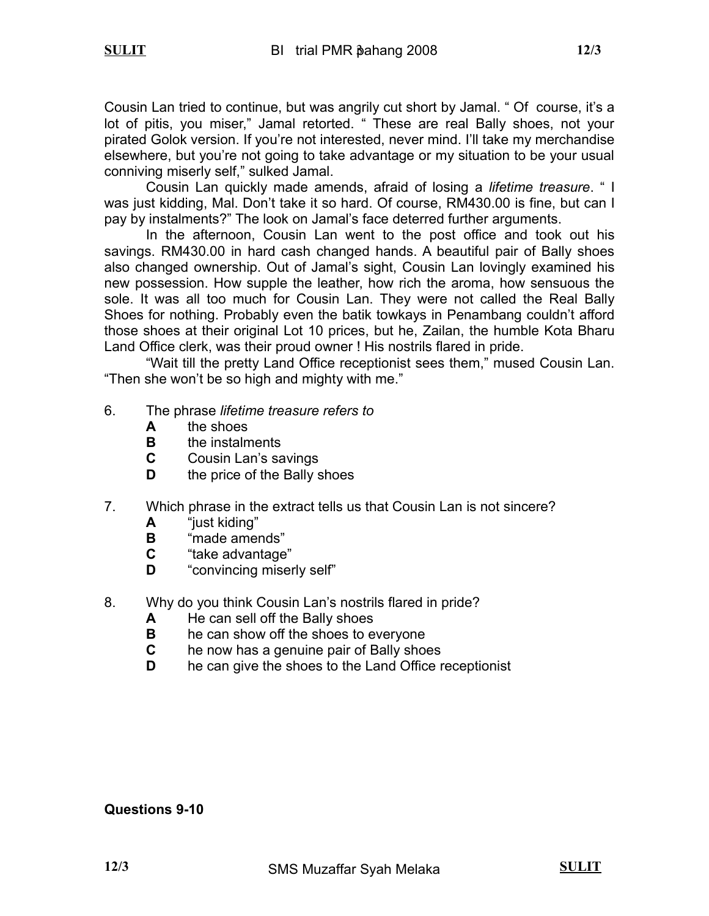Cousin Lan tried to continue, but was angrily cut short by Jamal. " Of course, it's a lot of pitis, you miser," Jamal retorted. " These are real Bally shoes, not your pirated Golok version. If you're not interested, never mind. I'll take my merchandise elsewhere, but you're not going to take advantage or my situation to be your usual conniving miserly self," sulked Jamal.

Cousin Lan quickly made amends, afraid of losing a *lifetime treasure*. " I was just kidding, Mal. Don't take it so hard. Of course, RM430.00 is fine, but can I pay by instalments?" The look on Jamal's face deterred further arguments.

In the afternoon, Cousin Lan went to the post office and took out his savings. RM430.00 in hard cash changed hands. A beautiful pair of Bally shoes also changed ownership. Out of Jamal's sight, Cousin Lan lovingly examined his new possession. How supple the leather, how rich the aroma, how sensuous the sole. It was all too much for Cousin Lan. They were not called the Real Bally Shoes for nothing. Probably even the batik towkays in Penambang couldn't afford those shoes at their original Lot 10 prices, but he, Zailan, the humble Kota Bharu Land Office clerk, was their proud owner ! His nostrils flared in pride.

"Wait till the pretty Land Office receptionist sees them," mused Cousin Lan. "Then she won't be so high and mighty with me."

- 6. The phrase *lifetime treasure refers to*
	- **A** the shoes
	- **B** the instalments
	- **C** Cousin Lan's savings
	- **D** the price of the Bally shoes
- 7. Which phrase in the extract tells us that Cousin Lan is not sincere?
	- **A** "just kiding"
	- **B** "made amends"
	- **C** "take advantage"
	- **D** "convincing miserly self"
- 8. Why do you think Cousin Lan's nostrils flared in pride?
	- **A** He can sell off the Bally shoes
	- **B** he can show off the shoes to everyone
	- **C** he now has a genuine pair of Bally shoes
	- **D** he can give the shoes to the Land Office receptionist

### **Questions 9-10**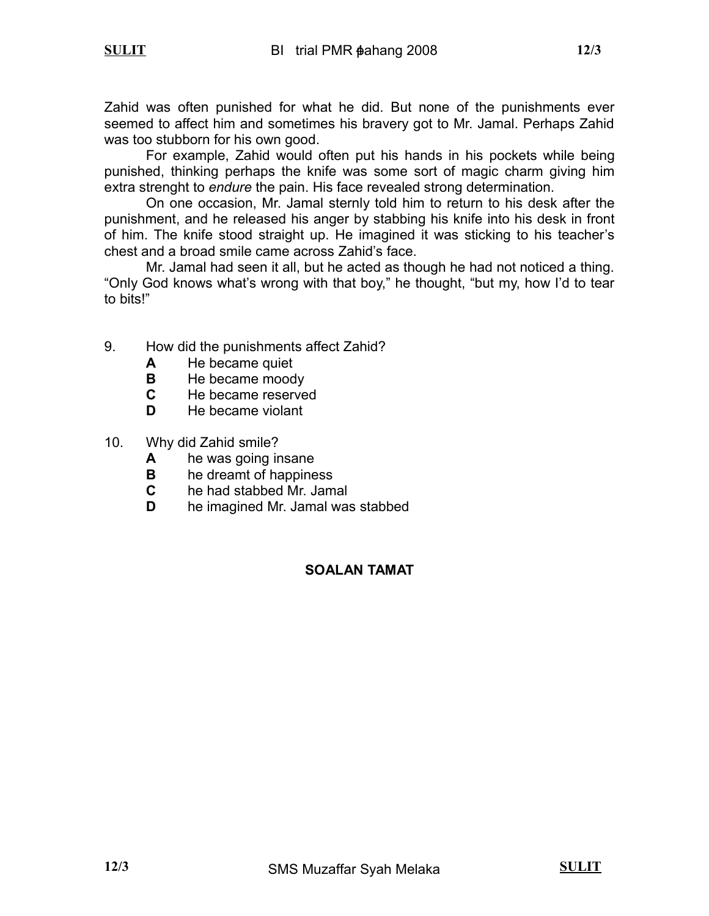Zahid was often punished for what he did. But none of the punishments ever seemed to affect him and sometimes his bravery got to Mr. Jamal. Perhaps Zahid was too stubborn for his own good.

For example, Zahid would often put his hands in his pockets while being punished, thinking perhaps the knife was some sort of magic charm giving him extra strenght to *endure* the pain. His face revealed strong determination.

On one occasion, Mr. Jamal sternly told him to return to his desk after the punishment, and he released his anger by stabbing his knife into his desk in front of him. The knife stood straight up. He imagined it was sticking to his teacher's chest and a broad smile came across Zahid's face.

Mr. Jamal had seen it all, but he acted as though he had not noticed a thing. "Only God knows what's wrong with that boy," he thought, "but my, how I'd to tear to bits!"

- 9. How did the punishments affect Zahid?
	- **A** He became quiet
	- **B** He became moody
	- **C** He became reserved
	- **D** He became violant
- 10. Why did Zahid smile?
	- **A** he was going insane
	- **B** he dreamt of happiness
	- **C** he had stabbed Mr. Jamal
	- **D** he imagined Mr. Jamal was stabbed

## **SOALAN TAMAT**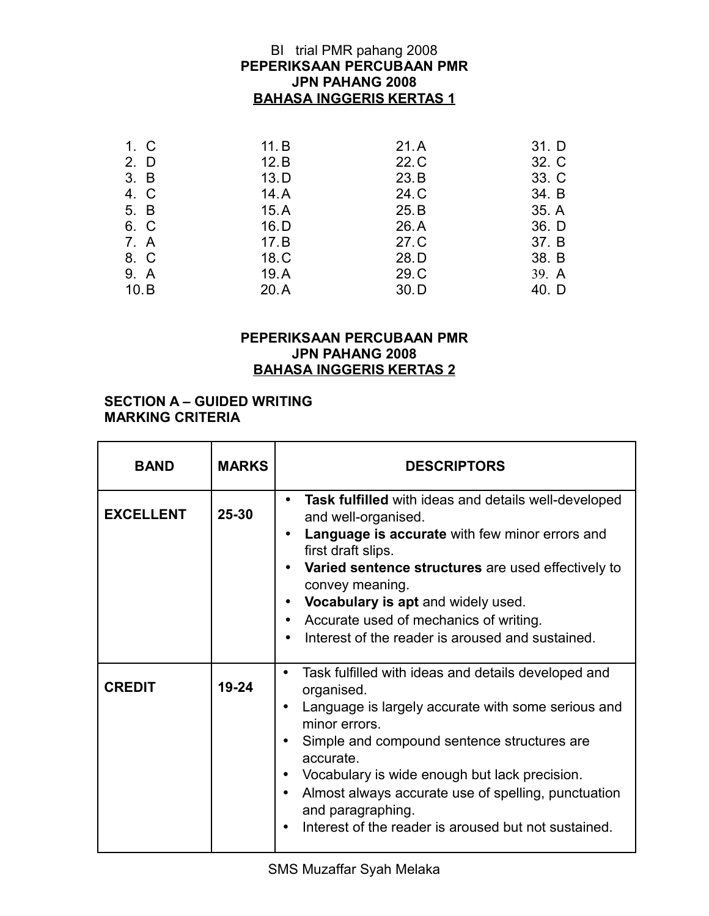## **PEPERIKSAAN PERCUBAAN PMR JPN PAHANG 2008 BAHASA INGGERIS KERTAS 1** BI trial PMR pahang 2008

| 1. C | 11. B | 21.A | 31. D |
|------|-------|------|-------|
| 2. D | 12.B  | 22.C | 32. C |
| 3. B | 13.D  | 23.B | 33. C |
| 4. C | 14.A  | 24.C | 34. B |
| 5. B | 15.A  | 25.B | 35. A |
| 6. C | 16.D  | 26.A | 36. D |
| 7. A | 17.B  | 27.C | 37. B |
| 8. C | 18.C  | 28.D | 38. B |
| 9. A | 19.A  | 29.C | 39. A |
| 10.B | 20.A  | 30.D | 40. D |

### **PEPERIKSAAN PERCUBAAN PMR JPN PAHANG 2008 BAHASA INGGERIS KERTAS 2**

#### **SECTION A – GUIDED WRITING MARKING CRITERIA**

| <b>BAND</b>      | <b>MARKS</b> | <b>DESCRIPTORS</b>                                                                                                                                                                                                                                                                                                                                                                                                               |
|------------------|--------------|----------------------------------------------------------------------------------------------------------------------------------------------------------------------------------------------------------------------------------------------------------------------------------------------------------------------------------------------------------------------------------------------------------------------------------|
| <b>EXCELLENT</b> | $25 - 30$    | Task fulfilled with ideas and details well-developed<br>$\bullet$<br>and well-organised.<br>Language is accurate with few minor errors and<br>first draft slips.<br>Varied sentence structures are used effectively to<br>convey meaning.<br>Vocabulary is apt and widely used.<br>$\bullet$<br>Accurate used of mechanics of writing.<br>$\bullet$<br>Interest of the reader is aroused and sustained.                          |
| <b>CREDIT</b>    | $19 - 24$    | Task fulfilled with ideas and details developed and<br>$\bullet$<br>organised.<br>Language is largely accurate with some serious and<br>minor errors.<br>Simple and compound sentence structures are<br>$\bullet$<br>accurate.<br>Vocabulary is wide enough but lack precision.<br>Almost always accurate use of spelling, punctuation<br>$\bullet$<br>and paragraphing.<br>Interest of the reader is aroused but not sustained. |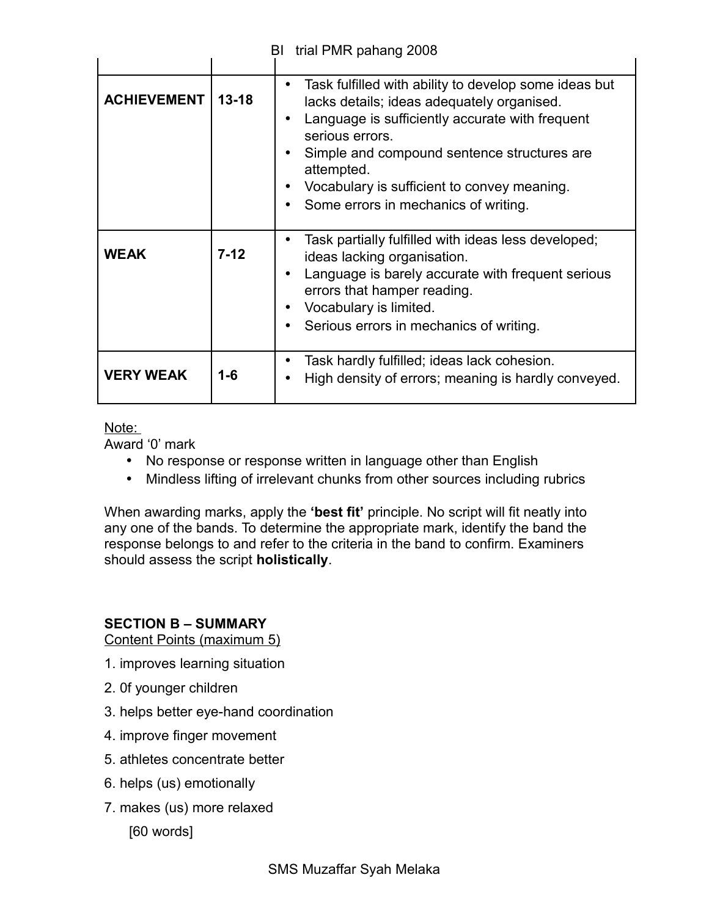| trial PMR pahang 2008<br>BI |           |                                                                                                                                                                                                                                                                                                                                             |  |  |
|-----------------------------|-----------|---------------------------------------------------------------------------------------------------------------------------------------------------------------------------------------------------------------------------------------------------------------------------------------------------------------------------------------------|--|--|
|                             |           |                                                                                                                                                                                                                                                                                                                                             |  |  |
| <b>ACHIEVEMENT</b>          | $13 - 18$ | Task fulfilled with ability to develop some ideas but<br>$\bullet$<br>lacks details; ideas adequately organised.<br>Language is sufficiently accurate with frequent<br>serious errors.<br>Simple and compound sentence structures are.<br>attempted.<br>Vocabulary is sufficient to convey meaning.<br>Some errors in mechanics of writing. |  |  |
| <b>WEAK</b>                 | $7-12$    | Task partially fulfilled with ideas less developed;<br>ideas lacking organisation.<br>Language is barely accurate with frequent serious<br>errors that hamper reading.<br>Vocabulary is limited.<br>Serious errors in mechanics of writing.                                                                                                 |  |  |
| <b>VERY WEAK</b>            | 1-6       | Task hardly fulfilled; ideas lack cohesion.<br>High density of errors; meaning is hardly conveyed.                                                                                                                                                                                                                                          |  |  |

## Note:

Award '0' mark

- No response or response written in language other than English
- Mindless lifting of irrelevant chunks from other sources including rubrics

When awarding marks, apply the **'best fit'** principle. No script will fit neatly into any one of the bands. To determine the appropriate mark, identify the band the response belongs to and refer to the criteria in the band to confirm. Examiners should assess the script **holistically**.

## **SECTION B – SUMMARY**

Content Points (maximum 5)

- 1. improves learning situation
- 2. 0f younger children
- 3. helps better eye-hand coordination
- 4. improve finger movement
- 5. athletes concentrate better
- 6. helps (us) emotionally
- 7. makes (us) more relaxed
	- [60 words]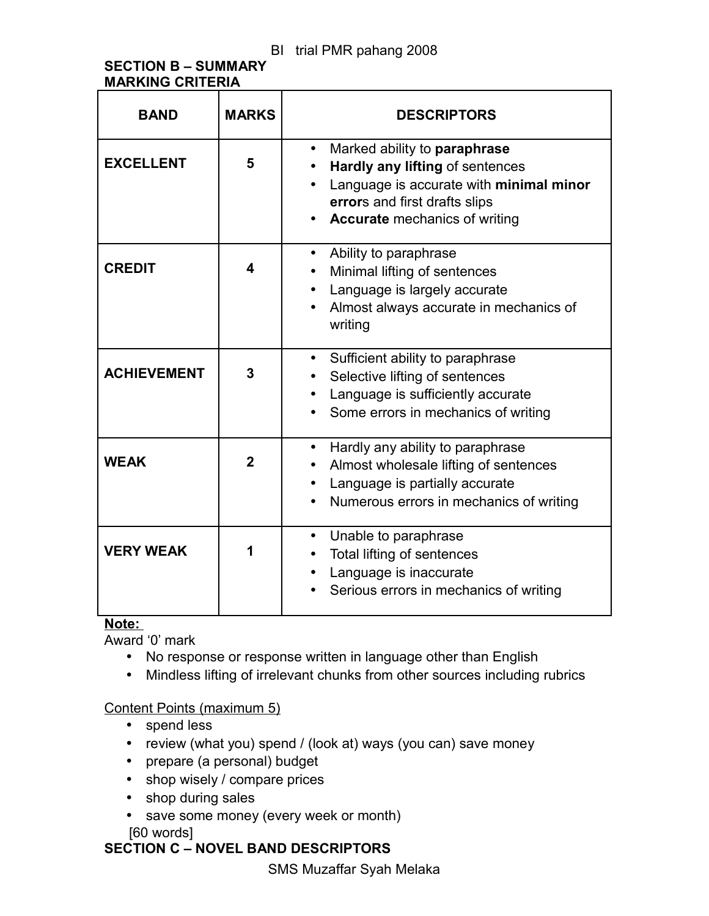## **SECTION B – SUMMARY MARKING CRITERIA**

| <b>BAND</b>        | <b>MARKS</b>   | <b>DESCRIPTORS</b>                                                                                                                                                                               |
|--------------------|----------------|--------------------------------------------------------------------------------------------------------------------------------------------------------------------------------------------------|
| <b>EXCELLENT</b>   | 5              | Marked ability to paraphrase<br>$\bullet$<br>Hardly any lifting of sentences<br>Language is accurate with minimal minor<br>errors and first drafts slips<br><b>Accurate</b> mechanics of writing |
| <b>CREDIT</b>      | 4              | Ability to paraphrase<br>Minimal lifting of sentences<br>Language is largely accurate<br>$\bullet$<br>Almost always accurate in mechanics of<br>writing                                          |
| <b>ACHIEVEMENT</b> | 3              | Sufficient ability to paraphrase<br>$\bullet$<br>Selective lifting of sentences<br>Language is sufficiently accurate<br>Some errors in mechanics of writing                                      |
| <b>WEAK</b>        | $\overline{2}$ | Hardly any ability to paraphrase<br>$\bullet$<br>Almost wholesale lifting of sentences<br>Language is partially accurate<br>Numerous errors in mechanics of writing                              |
| <b>VERY WEAK</b>   | 1              | Unable to paraphrase<br>Total lifting of sentences<br>Language is inaccurate<br>Serious errors in mechanics of writing                                                                           |

## **Note:**

Award '0' mark

- No response or response written in language other than English
- Mindless lifting of irrelevant chunks from other sources including rubrics

## Content Points (maximum 5)

- spend less
- review (what you) spend / (look at) ways (you can) save money
- prepare (a personal) budget
- shop wisely / compare prices
- shop during sales
- save some money (every week or month) [60 words]

## **SECTION C – NOVEL BAND DESCRIPTORS**

SMS Muzaffar Syah Melaka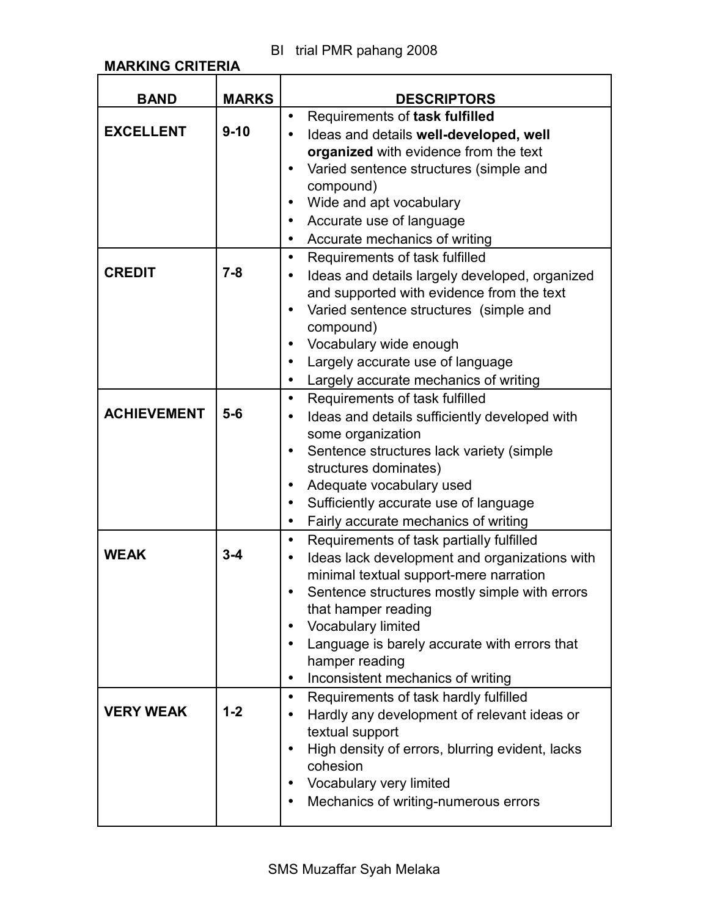**MARKING CRITERIA**

| <b>BAND</b>        | <b>MARKS</b> | <b>DESCRIPTORS</b>                                               |
|--------------------|--------------|------------------------------------------------------------------|
|                    |              | Requirements of task fulfilled<br>$\bullet$                      |
| <b>EXCELLENT</b>   | $9 - 10$     | Ideas and details well-developed, well<br>$\bullet$              |
|                    |              | organized with evidence from the text                            |
|                    |              | Varied sentence structures (simple and<br>$\bullet$              |
|                    |              | compound)                                                        |
|                    |              | Wide and apt vocabulary<br>$\bullet$                             |
|                    |              | Accurate use of language<br>$\bullet$                            |
|                    |              | Accurate mechanics of writing<br>$\bullet$                       |
|                    |              | Requirements of task fulfilled<br>$\bullet$                      |
| <b>CREDIT</b>      | $7 - 8$      | Ideas and details largely developed, organized<br>$\bullet$      |
|                    |              | and supported with evidence from the text                        |
|                    |              | Varied sentence structures (simple and<br>$\bullet$              |
|                    |              | compound)                                                        |
|                    |              | Vocabulary wide enough<br>$\bullet$                              |
|                    |              | Largely accurate use of language<br>$\bullet$                    |
|                    |              | Largely accurate mechanics of writing<br>$\bullet$               |
|                    |              | Requirements of task fulfilled<br>$\bullet$                      |
| <b>ACHIEVEMENT</b> | $5-6$        | Ideas and details sufficiently developed with                    |
|                    |              | some organization                                                |
|                    |              | Sentence structures lack variety (simple                         |
|                    |              | structures dominates)                                            |
|                    |              | Adequate vocabulary used<br>$\bullet$                            |
|                    |              | Sufficiently accurate use of language<br>$\bullet$               |
|                    |              | Fairly accurate mechanics of writing<br>$\bullet$                |
|                    |              | Requirements of task partially fulfilled<br>$\bullet$            |
| <b>WEAK</b>        | $3 - 4$      | Ideas lack development and organizations with<br>$\bullet$       |
|                    |              | minimal textual support-mere narration                           |
|                    |              | Sentence structures mostly simple with errors                    |
|                    |              | that hamper reading                                              |
|                    |              | Vocabulary limited                                               |
|                    |              | Language is barely accurate with errors that<br>$\bullet$        |
|                    |              | hamper reading<br>Inconsistent mechanics of writing<br>$\bullet$ |
|                    |              | Requirements of task hardly fulfilled<br>$\bullet$               |
| <b>VERY WEAK</b>   | $1 - 2$      | Hardly any development of relevant ideas or<br>$\bullet$         |
|                    |              | textual support                                                  |
|                    |              | High density of errors, blurring evident, lacks                  |
|                    |              | cohesion                                                         |
|                    |              | Vocabulary very limited<br>$\bullet$                             |
|                    |              | Mechanics of writing-numerous errors                             |
|                    |              |                                                                  |